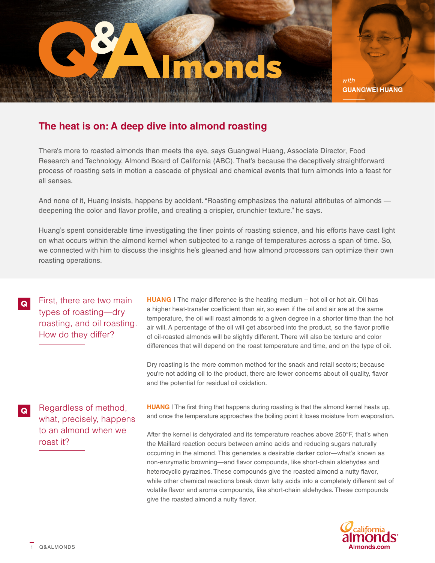

*with* **GUANGWEI HUANG**

## **The heat is on: A deep dive into almond roasting**

There's more to roasted almonds than meets the eye, says Guangwei Huang, Associate Director, Food Research and Technology, Almond Board of California (ABC). That's because the deceptively straightforward process of roasting sets in motion a cascade of physical and chemical events that turn almonds into a feast for all senses.

And none of it, Huang insists, happens by accident. "Roasting emphasizes the natural attributes of almonds deepening the color and flavor profile, and creating a crispier, crunchier texture." he says.

Huang's spent considerable time investigating the finer points of roasting science, and his efforts have cast light on what occurs within the almond kernel when subjected to a range of temperatures across a span of time. So, we connected with him to discuss the insights he's gleaned and how almond processors can optimize their own roasting operations.

First, there are two main types of roasting—dry roasting, and oil roasting. How do they differ?

**HUANG** | The major difference is the heating medium – hot oil or hot air. Oil has a higher heat-transfer coefficient than air, so even if the oil and air are at the same temperature, the oil will roast almonds to a given degree in a shorter time than the hot air will. A percentage of the oil will get absorbed into the product, so the flavor profile of oil-roasted almonds will be slightly different. There will also be texture and color differences that will depend on the roast temperature and time, and on the type of oil.

Dry roasting is the more common method for the snack and retail sectors; because you're not adding oil to the product, there are fewer concerns about oil quality, flavor and the potential for residual oil oxidation.

Regardless of method, what, precisely, happens to an almond when we roast it?

**HUANG** | The first thing that happens during roasting is that the almond kernel heats up, and once the temperature approaches the boiling point it loses moisture from evaporation.

After the kernel is dehydrated and its temperature reaches above 250°F, that's when the Maillard reaction occurs between amino acids and reducing sugars naturally occurring in the almond. This generates a desirable darker color—what's known as non-enzymatic browning—and flavor compounds, like short-chain aldehydes and heterocyclic pyrazines. These compounds give the roasted almond a nutty flavor, while other chemical reactions break down fatty acids into a completely different set of volatile flavor and aroma compounds, like short-chain aldehydes. These compounds give the roasted almond a nutty flavor.